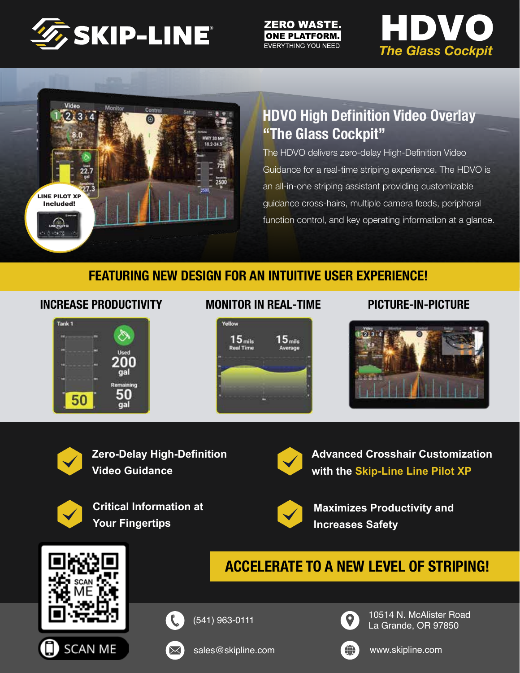

#### **ZERO WASTE. ONE PLATFORM.** EVERYTHING YOU NEED.





# **HDVO High Definition Video Overlay "The Glass Cockpit"**

The HDVO delivers zero-delay High-Definition Video Guidance for a real-time striping experience. The HDVO is an all-in-one striping assistant providing customizable guidance cross-hairs, multiple camera feeds, peripheral function control, and key operating information at a glance.

### **FEATURING NEW DESIGN FOR AN INTUITIVE USER EXPERIENCE!**

#### **INCREASE PRODUCTIVITY MONITOR IN REAL-TIME PICTURE-IN-PICTURE**



#### **MONITOR IN REAL-TIME**







**Zero-Delay High-Definition Video Guidance**



**Critical Information at Your Fingertips**



**Advanced Crosshair Customization with the Skip-Line Line Pilot XP**



**Maximizes Productivity and Increases Safety**

# **ACCELERATE TO A NEW LEVEL OF STRIPING!**







(541) 963-0111



10514 N. McAlister Road La Grande, OR 97850



www.skipline.com